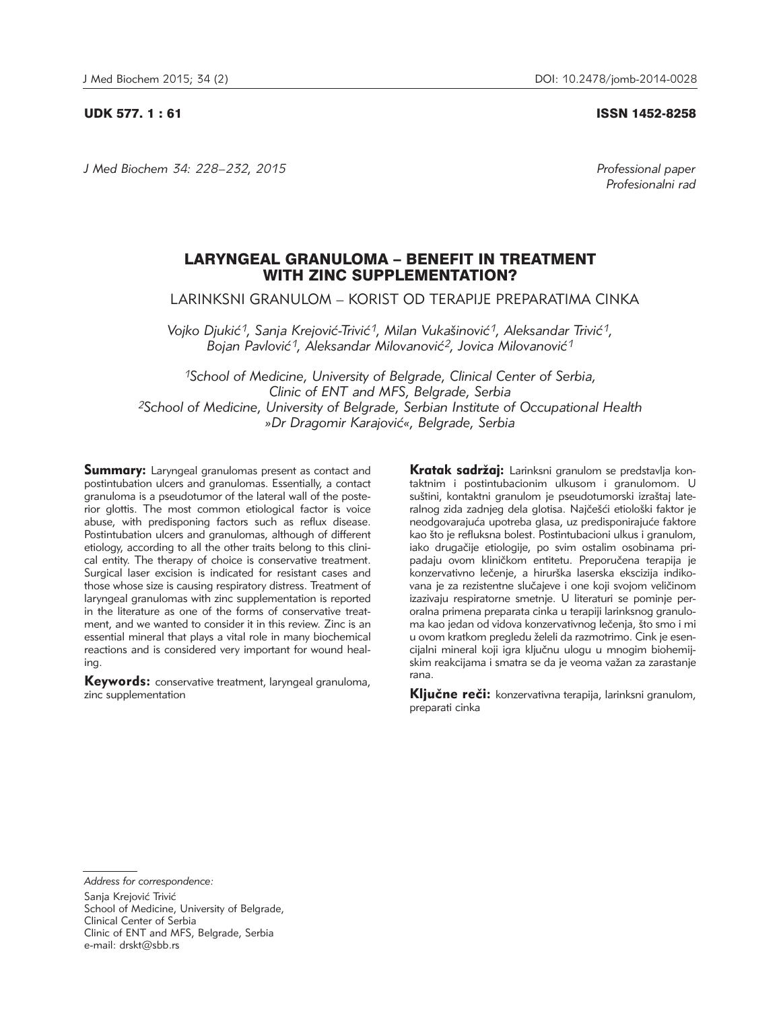#### UDK 577. 1 : 61 ISSN 1452-8258

*J Med Biochem 34: 228–232, 2015 Professional paper*

*Profesionalni rad*

# LARYNGEAL GRANULOMA – BENEFIT IN TREATMENT WITH ZINC SUPPLEMENTATION?

LARINKSNI GRANULOM – KORIST OD TERAPIJE PREPARATIMA CINKA

Vojko Djukić<sup>1</sup>, Sanja Krejović-Trivić<sup>1</sup>, Milan Vukašinović<sup>1</sup>, Aleksandar Trivić<sup>1</sup>, Bojan Pavlović<sup>1</sup>, Aleksandar Milovanović<sup>2</sup>, Jovica Milovanović<sup>1</sup>

*1School of Medicine, University of Belgrade, Clinical Center of Serbia, Clinic of ENT and MFS, Belgrade, Serbia 2School of Medicine, University of Belgrade, Serbian Institute of Occupational Health* »Dr Dragomir Karajović«, Belgrade, Serbia

**Summary:** Laryngeal granulomas present as contact and postintubation ulcers and granulomas. Essentially, a contact granuloma is a pseudotumor of the lateral wall of the posterior glottis. The most common etiological factor is voice abuse, with predisponing factors such as reflux disease. Postintubation ulcers and granulomas, although of different etiology, according to all the other traits belong to this clinical entity. The therapy of choice is conservative treatment. Surgical laser excision is indicated for resistant cases and those whose size is causing respiratory distress. Treatment of laryngeal granulomas with zinc supplementation is reported in the literature as one of the forms of conservative treatment, and we wanted to consider it in this review. Zinc is an essential mineral that plays a vital role in many biochemical reactions and is considered very important for wound healing.

Keywords: conservative treatment, laryngeal granuloma, zinc supplementation

Kratak sadržaj: Larinksni granulom se predstavlja kontaktnim i postintubacionim ulkusom i granulomom. U suštini, kontaktni granulom je pseudotumorski izraštaj lateralnog zida zadnjeg dela glotisa. Najčešći etiološki faktor je neodgovarajuća upotreba glasa, uz predisponirajuće faktore kao što je refluksna bolest. Postintubacioni ulkus i granulom, iako drugačije etiologije, po svim ostalim osobinama pripadaju ovom kliničkom entitetu. Preporučena terapija je konzervativno lečenje, a hirurška laserska ekscizija indikovana je za rezistentne slučajeve i one koji svojom veličinom izazivaju respiratorne smetnje. U literaturi se pominje peroralna primena preparata cinka u terapiji larinksnog granuloma kao jedan od vidova konzervativnog lečenja, što smo i mi u ovom kratkom pregledu želeli da razmotrimo. Cink je esencijalni mineral koji igra ključnu ulogu u mnogim biohemijskim reakcijama i smatra se da je veoma važan za zarastanje rana.

Ključne reči: konzervativna terapija, larinksni granulom, preparati cinka

*Address for correspondence:* 

Sanja Krejović Trivić School of Medicine, University of Belgrade, Clinical Center of Serbia Clinic of ENT and MFS, Belgrade, Serbia e-mail: drskt@sbb.rs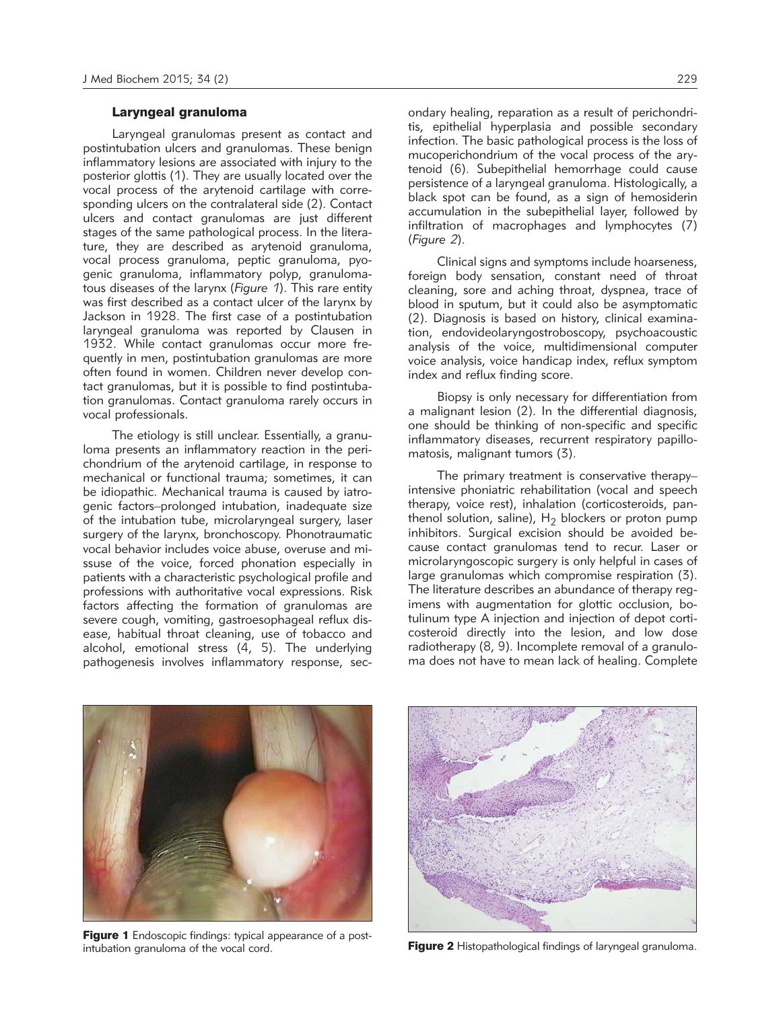## Laryngeal granuloma

Laryngeal granulomas present as contact and postintubation ulcers and granulomas. These benign inflammatory lesions are associated with injury to the posterior glottis (1). They are usually located over the vocal process of the arytenoid cartilage with corresponding ulcers on the contralateral side (2). Contact ulcers and contact granulomas are just different stages of the same pathological process. In the literature, they are described as arytenoid granuloma, vocal process granuloma, peptic granuloma, pyogenic granuloma, inflammatory polyp, granulomatous diseases of the larynx (*Figure 1*). This rare entity was first described as a contact ulcer of the larynx by Jackson in 1928. The first case of a postintubation laryngeal granuloma was reported by Clausen in 1932. While contact granulomas occur more frequently in men, postintubation granulomas are more often found in women. Children never develop contact granulomas, but it is possible to find postintubation granulomas. Contact granuloma rarely occurs in vocal professionals.

The etiology is still unclear. Essentially, a granuloma presents an inflammatory reaction in the perichondrium of the arytenoid cartilage, in response to mechanical or functional trauma; sometimes, it can be idiopathic. Mechanical trauma is caused by iatrogenic factors– prolonged intubation, inadequate size of the intubation tube, microlaryngeal surgery, laser surgery of the larynx, bronchoscopy. Phonotraumatic vocal behavior includes voice abuse, overuse and mi ssuse of the voice, forced phonation especially in patients with a characteristic psychological profile and professions with authoritative vocal expressions. Risk factors affecting the formation of granulomas are severe cough, vomiting, gastroesophageal reflux disease, habitual throat cleaning, use of tobacco and alcohol, emotional stress (4, 5). The underlying patho genesis involves inflammatory response, secondary healing, reparation as a result of perichondritis, epithelial hyperplasia and possible secondary infection. The basic pathological process is the loss of mucoperichondrium of the vocal process of the arytenoid (6). Subepithelial hemorrhage could cause persistence of a laryngeal granuloma. Histologically, a black spot can be found, as a sign of hemosiderin accumulation in the subepithelial layer, followed by infiltration of macrophages and lymphocytes (7) (*Figure 2*).

Clinical signs and symptoms include hoarseness, foreign body sensation, constant need of throat cleaning, sore and aching throat, dyspnea, trace of blood in sputum, but it could also be asymptomatic (2). Diagnosis is based on history, clinical examination, endovideolaryngostroboscopy, psychoacoustic analysis of the voice, multidimensional computer voice analysis, voice handicap index, reflux symptom index and reflux finding score.

Biopsy is only necessary for differentiation from a malignant lesion (2). In the differential diagnosis, one should be thinking of non-specific and specific inflammatory diseases, recurrent respiratory papillomatosis, malignant tumors (3).

The primary treatment is conservative therapy– intensive phoniatric rehabilitation (vocal and speech therapy, voice rest), inhalation (corticosteroids, panthenol solution, saline),  $H_2$  blockers or proton pump inhibitors. Surgical excision should be avoided because contact granulomas tend to recur. Laser or microlaryngoscopic surgery is only helpful in cases of large granulomas which compromise respiration (3). The literature describes an abundance of therapy regimens with augmentation for glottic occlusion, botulinum type A injection and injection of depot corticosteroid directly into the lesion, and low dose radio therapy (8, 9). In complete removal of a granuloma does not have to mean lack of healing. Complete



**Figure 1** Endoscopic findings: typical appearance of a postintubation granuloma of the vocal cord. Figure 2 Histopathological findings of laryngeal granuloma.

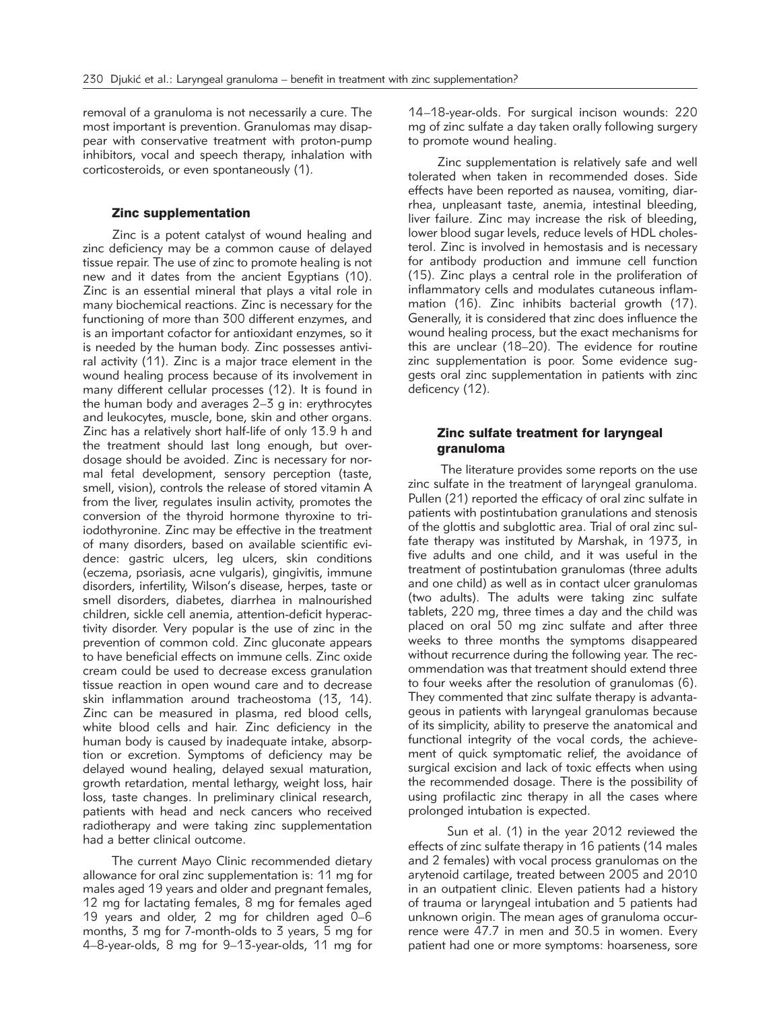removal of a granuloma is not necessarily a cure. The most important is prevention. Granulomas may disappear with conservative treatment with proton-pump inhibitors, vocal and speech therapy, inhalation with corticosteroids, or even spontaneously (1).

### Zinc supplementation

Zinc is a potent catalyst of wound healing and zinc deficiency may be a common cause of delayed tissue repair. The use of zinc to promote healing is not new and it dates from the ancient Egyptians (10). Zinc is an essential mineral that plays a vital role in many biochemical reactions. Zinc is necessary for the functioning of more than 300 different enzymes, and is an important cofactor for antioxidant enzymes, so it is needed by the human body. Zinc possesses antiviral activity (11). Zinc is a major trace element in the wound healing process because of its involvement in many different cellular processes (12). It is found in the human body and averages 2–3 g in: erythrocytes and leukocytes, muscle, bone, skin and other organs. Zinc has a relatively short half-life of only 13.9 h and the treatment should last long enough, but overdosage should be avoided. Zinc is necessary for normal fetal development, sensory perception (taste, smell, vision), controls the release of stored vitamin A from the liver, regulates insulin activity, promotes the conversion of the thyroid hormone thyroxine to triiodothyronine. Zinc may be effective in the treatment of many disorders, based on available scientific evidence: gastric ulcers, leg ulcers, skin conditions (eczema, psoriasis, acne vulgaris), gingivitis, immune disorders, infertility, Wilson's disease, herpes, taste or smell disorders, diabetes, diarrhea in malnourished children, sickle cell anemia, attention-deficit hyperactivity disorder. Very popular is the use of zinc in the prevention of common cold. Zinc gluconate appears to have beneficial effects on immune cells. Zinc oxide cream could be used to decrease excess granulation tissue reaction in open wound care and to decrease skin inflammation around tracheostoma (13, 14). Zinc can be measured in plasma, red blood cells, white blood cells and hair. Zinc deficiency in the human body is caused by inadequate intake, absorption or excretion. Symptoms of deficiency may be delayed wound healing, delayed sexual maturation, growth retardation, mental lethargy, weight loss, hair loss, taste changes. In preliminary clinical research, patients with head and neck cancers who received radiotherapy and were taking zinc supplementation had a better clinical outcome.

The current Mayo Clinic recommended dietary allowance for oral zinc supplementation is: 11 mg for males aged 19 years and older and pregnant females, 12 mg for lactating females, 8 mg for females aged 19 years and older, 2 mg for children aged 0–6 months, 3 mg for 7-month-olds to 3 years, 5 mg for 4–8-year-olds, 8 mg for 9–13-year-olds, 11 mg for 14–18-year-olds. For surgical incison wounds: 220 mg of zinc sulfate a day taken orally following surgery to promote wound healing.

Zinc supplementation is relatively safe and well tolerated when taken in recommended doses. Side effects have been reported as nausea, vomiting, diarrhea, unpleasant taste, anemia, intestinal bleeding, liver failure. Zinc may increase the risk of bleeding, lower blood sugar levels, reduce levels of HDL cholesterol. Zinc is involved in hemostasis and is necessary for antibody production and immune cell function (15). Zinc plays a central role in the proliferation of inflammatory cells and modulates cutaneous inflammation (16). Zinc inhibits bacterial growth (17). Generally, it is considered that zinc does influence the wound healing process, but the exact mechanisms for this are unclear (18–20). The evidence for routine zinc supplementation is poor. Some evidence suggests oral zinc supplementation in patients with zinc deficency (12).

# Zinc sulfate treatment for laryngeal granuloma

The literature provides some reports on the use zinc sulfate in the treatment of laryngeal granuloma. Pullen (21) reported the efficacy of oral zinc sulfate in patients with postintubation granulations and stenosis of the glottis and subglottic area. Trial of oral zinc sulfate therapy was instituted by Marshak, in 1973, in five adults and one child, and it was useful in the treatment of postintubation granulomas (three adults and one child) as well as in contact ulcer granulomas (two adults). The adults were taking zinc sulfate tablets, 220 mg, three times a day and the child was placed on oral 50 mg zinc sulfate and after three weeks to three months the symptoms disappeared without recurrence during the following year. The recommendation was that treatment should extend three to four weeks after the resolution of granulomas (6). They commented that zinc sulfate therapy is advantageous in patients with laryngeal granulomas because of its simplicity, ability to preserve the anatomical and functional integrity of the vocal cords, the achievement of quick symptomatic relief, the avoidance of surgical excision and lack of toxic effects when using the recommended dosage. There is the possibility of using profilactic zinc therapy in all the cases where prolonged intubation is expected.

Sun et al. (1) in the year 2012 reviewed the effects of zinc sulfate therapy in 16 patients (14 males and 2 females) with vocal process granulomas on the arytenoid cartilage, treated between 2005 and 2010 in an outpatient clinic. Eleven patients had a history of trauma or laryngeal intubation and 5 patients had unknown origin. The mean ages of granuloma occurrence were 47.7 in men and 30.5 in women. Every patient had one or more symptoms: hoarseness, sore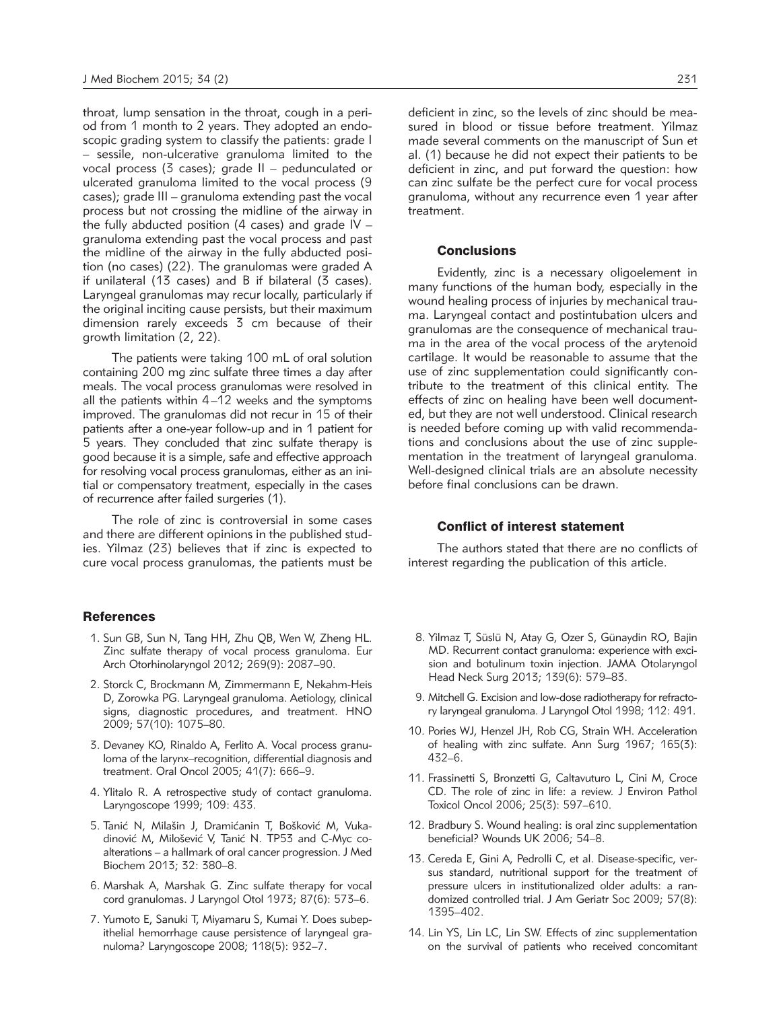throat, lump sensation in the throat, cough in a period from 1 month to 2 years. They adopted an endoscopic grading system to classify the patients: grade I – sessile, non-ulcerative granuloma limited to the vocal process (3 cases); grade II – pedunculated or ulcerated granuloma limited to the vocal process (9 cases); grade III – granuloma extending past the vocal process but not crossing the midline of the airway in the fully abducted position (4 cases) and grade  $IV$ granuloma extending past the vocal process and past the midline of the airway in the fully abducted position (no cases) (22). The granulomas were graded A if unilateral (13 cases) and B if bilateral ( $\bar{3}$  cases). Laryngeal granulomas may recur locally, particularly if the original inciting cause persists, but their maximum dimension rarely exceeds 3 cm because of their growth limitation (2, 22).

The patients were taking 100 mL of oral solution containing 200 mg zinc sulfate three times a day after meals. The vocal process granulomas were resolved in all the patients within 4–12 weeks and the symptoms improved. The granulomas did not recur in 15 of their patients after a one-year follow-up and in 1 patient for 5 years. They concluded that zinc sulfate therapy is good because it is a simple, safe and effective approach for resolving vocal process granulomas, either as an initial or compensatory treatment, especially in the cases of recurrence after failed surgeries (1).

The role of zinc is controversial in some cases and there are different opinions in the published studies. Yilmaz (23) believes that if zinc is expected to cure vocal process granulomas, the patients must be

#### **References**

- 1. Sun GB, Sun N, Tang HH, Zhu QB, Wen W, Zheng HL. Zinc sulfate therapy of vocal process granuloma. Eur Arch Otorhinolaryngol 2012; 269(9): 2087–90.
- 2. Storck C, Brockmann M, Zimmermann E, Nekahm-Heis D, Zorowka PG. Laryngeal granuloma. Aetiology, clinical signs, diagnostic procedures, and treatment. HNO 2009; 57(10): 1075–80.
- 3. Devaney KO, Rinaldo A, Ferlito A. Vocal process granuloma of the larynx–recognition, differential diagnosis and treatment. Oral Oncol 2005; 41(7): 666–9.
- 4. Ylitalo R. A retrospective study of contact granuloma. Laryngoscope 1999; 109: 433.
- 5. Tanić N, Milašin J, Dramićanin T, Bošković M, Vukadinović M, Milošević V, Tanić N. TP53 and C-Myc coalterations – a hallmark of oral cancer progression. J Med Biochem 2013; 32: 380–8.
- 6. Marshak A, Marshak G. Zinc sulfate therapy for vocal cord granulomas. J Laryngol Otol 1973; 87(6): 573–6.
- 7. Yumoto E, Sanuki T, Miyamaru S, Kumai Y. Does subepithelial hemorrhage cause persistence of laryngeal granuloma? Laryngoscope 2008; 118(5): 932–7.

deficient in zinc, so the levels of zinc should be measured in blood or tissue before treatment. Yilmaz made several comments on the manuscript of Sun et al. (1) because he did not expect their patients to be deficient in zinc, and put forward the question: how can zinc sulfate be the perfect cure for vocal process granuloma, without any recurrence even 1 year after treatment.

#### **Conclusions**

Evidently, zinc is a necessary oligoelement in many functions of the human body, especially in the wound healing process of injuries by mechanical trauma. Laryngeal contact and postintubation ulcers and granulomas are the consequence of mechanical trauma in the area of the vocal process of the arytenoid cartilage. It would be reasonable to assume that the use of zinc supplementation could significantly contribute to the treatment of this clinical entity. The effects of zinc on healing have been well documented, but they are not well understood. Clinical research is needed before coming up with valid recommendations and conclusions about the use of zinc supplementation in the treatment of laryngeal granuloma. Well-designed clinical trials are an absolute necessity before final conclusions can be drawn.

#### Conflict of interest statement

The authors stated that there are no conflicts of interest regarding the publication of this article.

- 8. Yilmaz T, Süslü N, Atay G, Özer S, Günaydin RÖ, Bajin MD. Recurrent contact granuloma: experience with excision and botulinum toxin injection. JAMA Otolaryngol Head Neck Surg 2013; 139(6): 579–83.
- 9. Mitchell G. Excision and low-dose radiotherapy for refractory laryngeal granuloma. J Laryngol Otol 1998; 112: 491.
- 10. Pories WJ, Henzel JH, Rob CG, Strain WH. Acceleration of healing with zinc sulfate. Ann Surg 1967; 165(3): 432–6.
- 11. Frassinetti S, Bronzetti G, Caltavuturo L, Cini M, Croce CD. The role of zinc in life: a review. J Environ Pathol Toxicol Oncol 2006; 25(3): 597–610.
- 12. Bradbury S. Wound healing: is oral zinc supplementation beneficial? Wounds UK 2006; 54–8.
- 13. Cereda E, Gini A, Pedrolli C, et al. Disease-specific, versus standard, nutritional support for the treatment of pressure ulcers in institutionalized older adults: a randomized controlled trial. J Am Geriatr Soc 2009; 57(8): 1395–402.
- 14. Lin YS, Lin LC, Lin SW. Effects of zinc supplementation on the survival of patients who received concomitant